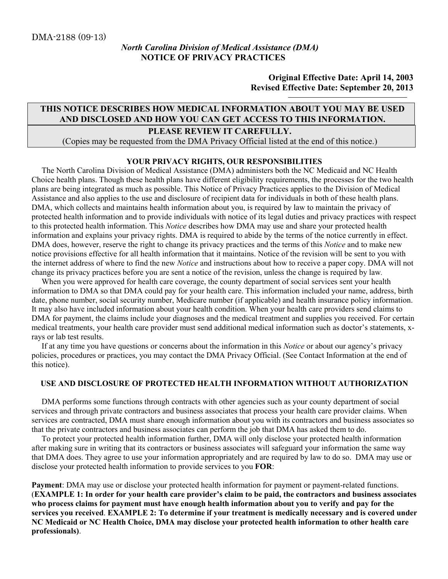### North Carolina Division of Medical Assistance (DMA) NOTICE OF PRIVACY PRACTICES

Original Effective Date: April 14, 2003 Revised Effective Date: September 20, 2013

# THIS NOTICE DESCRIBES HOW MEDICAL INFORMATION ABOUT YOU MAY BE USED AND DISCLOSED AND HOW YOU CAN GET ACCESS TO THIS INFORMATION.

### PLEASE REVIEW IT CAREFULLY.

(Copies may be requested from the DMA Privacy Official listed at the end of this notice.)

#### YOUR PRIVACY RIGHTS, OUR RESPONSIBILITIES

 The North Carolina Division of Medical Assistance (DMA) administers both the NC Medicaid and NC Health Choice health plans. Though these health plans have different eligibility requirements, the processes for the two health plans are being integrated as much as possible. This Notice of Privacy Practices applies to the Division of Medical Assistance and also applies to the use and disclosure of recipient data for individuals in both of these health plans. DMA, which collects and maintains health information about you, is required by law to maintain the privacy of protected health information and to provide individuals with notice of its legal duties and privacy practices with respect to this protected health information. This *Notice* describes how DMA may use and share your protected health information and explains your privacy rights. DMA is required to abide by the terms of the notice currently in effect. DMA does, however, reserve the right to change its privacy practices and the terms of this *Notice* and to make new notice provisions effective for all health information that it maintains. Notice of the revision will be sent to you with the internet address of where to find the new Notice and instructions about how to receive a paper copy. DMA will not change its privacy practices before you are sent a notice of the revision, unless the change is required by law.

When you were approved for health care coverage, the county department of social services sent your health information to DMA so that DMA could pay for your health care. This information included your name, address, birth date, phone number, social security number, Medicare number (if applicable) and health insurance policy information. It may also have included information about your health condition. When your health care providers send claims to DMA for payment, the claims include your diagnoses and the medical treatment and supplies you received. For certain medical treatments, your health care provider must send additional medical information such as doctor's statements, xrays or lab test results.

 If at any time you have questions or concerns about the information in this Notice or about our agency's privacy policies, procedures or practices, you may contact the DMA Privacy Official. (See Contact Information at the end of this notice).

### USE AND DISCLOSURE OF PROTECTED HEALTH INFORMATION WITHOUT AUTHORIZATION

 DMA performs some functions through contracts with other agencies such as your county department of social services and through private contractors and business associates that process your health care provider claims. When services are contracted, DMA must share enough information about you with its contractors and business associates so that the private contractors and business associates can perform the job that DMA has asked them to do.

 To protect your protected health information further, DMA will only disclose your protected health information after making sure in writing that its contractors or business associates will safeguard your information the same way that DMA does. They agree to use your information appropriately and are required by law to do so. DMA may use or disclose your protected health information to provide services to you FOR:

Payment: DMA may use or disclose your protected health information for payment or payment-related functions. (EXAMPLE 1: In order for your health care provider's claim to be paid, the contractors and business associates who process claims for payment must have enough health information about you to verify and pay for the services you received. EXAMPLE 2: To determine if your treatment is medically necessary and is covered under NC Medicaid or NC Health Choice, DMA may disclose your protected health information to other health care professionals).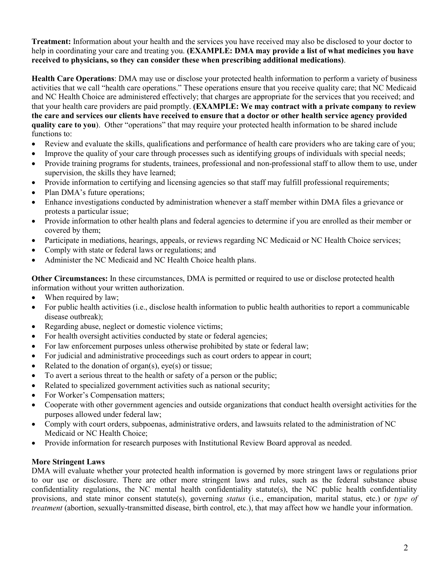**Treatment:** Information about your health and the services you have received may also be disclosed to your doctor to help in coordinating your care and treating you. (EXAMPLE: DMA may provide a list of what medicines you have received to physicians, so they can consider these when prescribing additional medications).

Health Care Operations: DMA may use or disclose your protected health information to perform a variety of business activities that we call "health care operations." These operations ensure that you receive quality care; that NC Medicaid and NC Health Choice are administered effectively; that charges are appropriate for the services that you received; and that your health care providers are paid promptly. (EXAMPLE: We may contract with a private company to review the care and services our clients have received to ensure that a doctor or other health service agency provided quality care to you). Other "operations" that may require your protected health information to be shared include functions to:

- Review and evaluate the skills, qualifications and performance of health care providers who are taking care of you;
- Improve the quality of your care through processes such as identifying groups of individuals with special needs;
- Provide training programs for students, trainees, professional and non-professional staff to allow them to use, under supervision, the skills they have learned;
- Provide information to certifying and licensing agencies so that staff may fulfill professional requirements;
- Plan DMA's future operations;
- Enhance investigations conducted by administration whenever a staff member within DMA files a grievance or protests a particular issue;
- Provide information to other health plans and federal agencies to determine if you are enrolled as their member or covered by them;
- Participate in mediations, hearings, appeals, or reviews regarding NC Medicaid or NC Health Choice services;
- Comply with state or federal laws or regulations; and
- Administer the NC Medicaid and NC Health Choice health plans.

Other Circumstances: In these circumstances, DMA is permitted or required to use or disclose protected health information without your written authorization.

- When required by law;
- For public health activities (i.e., disclose health information to public health authorities to report a communicable disease outbreak);
- Regarding abuse, neglect or domestic violence victims;
- For health oversight activities conducted by state or federal agencies;
- For law enforcement purposes unless otherwise prohibited by state or federal law;
- For judicial and administrative proceedings such as court orders to appear in court;
- Related to the donation of organ(s), eye(s) or tissue;
- To avert a serious threat to the health or safety of a person or the public;
- Related to specialized government activities such as national security;
- For Worker's Compensation matters;
- Cooperate with other government agencies and outside organizations that conduct health oversight activities for the purposes allowed under federal law;
- Comply with court orders, subpoenas, administrative orders, and lawsuits related to the administration of NC Medicaid or NC Health Choice;
- Provide information for research purposes with Institutional Review Board approval as needed.

### More Stringent Laws

DMA will evaluate whether your protected health information is governed by more stringent laws or regulations prior to our use or disclosure. There are other more stringent laws and rules, such as the federal substance abuse confidentiality regulations, the NC mental health confidentiality statute(s), the NC public health confidentiality provisions, and state minor consent statute(s), governing status (i.e., emancipation, marital status, etc.) or type of treatment (abortion, sexually-transmitted disease, birth control, etc.), that may affect how we handle your information.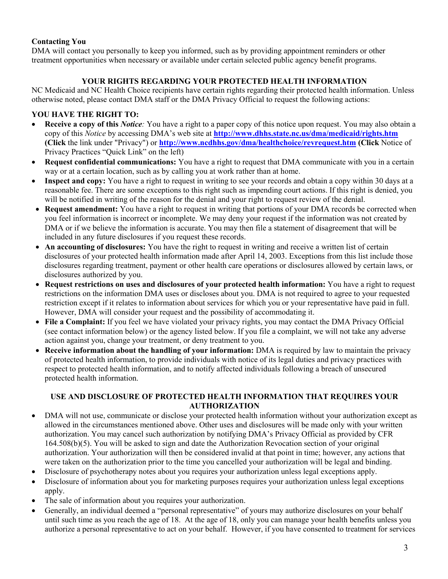# Contacting You

DMA will contact you personally to keep you informed, such as by providing appointment reminders or other treatment opportunities when necessary or available under certain selected public agency benefit programs.

# YOUR RIGHTS REGARDING YOUR PROTECTED HEALTH INFORMATION

NC Medicaid and NC Health Choice recipients have certain rights regarding their protected health information. Unless otherwise noted, please contact DMA staff or the DMA Privacy Official to request the following actions:

# YOU HAVE THE RIGHT TO:

- Receive a copy of this *Notice*: You have a right to a paper copy of this notice upon request. You may also obtain a copy of this *Notice* by accessing DMA's web site at **http://www.dhhs.state.nc.us/dma/medicaid/rights.htm** (Click the link under "Privacy") or http://www.ncdhhs.gov/dma/healthchoice/revrequest.htm (Click Notice of Privacy Practices "Quick Link" on the left)
- Request confidential communications: You have a right to request that DMA communicate with you in a certain way or at a certain location, such as by calling you at work rather than at home.
- Inspect and copy: You have a right to request in writing to see your records and obtain a copy within 30 days at a reasonable fee. There are some exceptions to this right such as impending court actions. If this right is denied, you will be notified in writing of the reason for the denial and your right to request review of the denial.
- **Request amendment:** You have a right to request in writing that portions of your DMA records be corrected when you feel information is incorrect or incomplete. We may deny your request if the information was not created by DMA or if we believe the information is accurate. You may then file a statement of disagreement that will be included in any future disclosures if you request these records.
- An accounting of disclosures: You have the right to request in writing and receive a written list of certain disclosures of your protected health information made after April 14, 2003. Exceptions from this list include those disclosures regarding treatment, payment or other health care operations or disclosures allowed by certain laws, or disclosures authorized by you.
- Request restrictions on uses and disclosures of your protected health information: You have a right to request restrictions on the information DMA uses or discloses about you. DMA is not required to agree to your requested restriction except if it relates to information about services for which you or your representative have paid in full. However, DMA will consider your request and the possibility of accommodating it.
- File a Complaint: If you feel we have violated your privacy rights, you may contact the DMA Privacy Official (see contact information below) or the agency listed below. If you file a complaint, we will not take any adverse action against you, change your treatment, or deny treatment to you.
- Receive information about the handling of your information: DMA is required by law to maintain the privacy of protected health information, to provide individuals with notice of its legal duties and privacy practices with respect to protected health information, and to notify affected individuals following a breach of unsecured protected health information.

# USE AND DISCLOSURE OF PROTECTED HEALTH INFORMATION THAT REQUIRES YOUR AUTHORIZATION

- DMA will not use, communicate or disclose your protected health information without your authorization except as allowed in the circumstances mentioned above. Other uses and disclosures will be made only with your written authorization. You may cancel such authorization by notifying DMA's Privacy Official as provided by CFR 164.508(b)(5). You will be asked to sign and date the Authorization Revocation section of your original authorization. Your authorization will then be considered invalid at that point in time; however, any actions that were taken on the authorization prior to the time you cancelled your authorization will be legal and binding.
- Disclosure of psychotherapy notes about you requires your authorization unless legal exceptions apply.
- Disclosure of information about you for marketing purposes requires your authorization unless legal exceptions apply.
- The sale of information about you requires your authorization.
- Generally, an individual deemed a "personal representative" of yours may authorize disclosures on your behalf until such time as you reach the age of 18. At the age of 18, only you can manage your health benefits unless you authorize a personal representative to act on your behalf. However, if you have consented to treatment for services